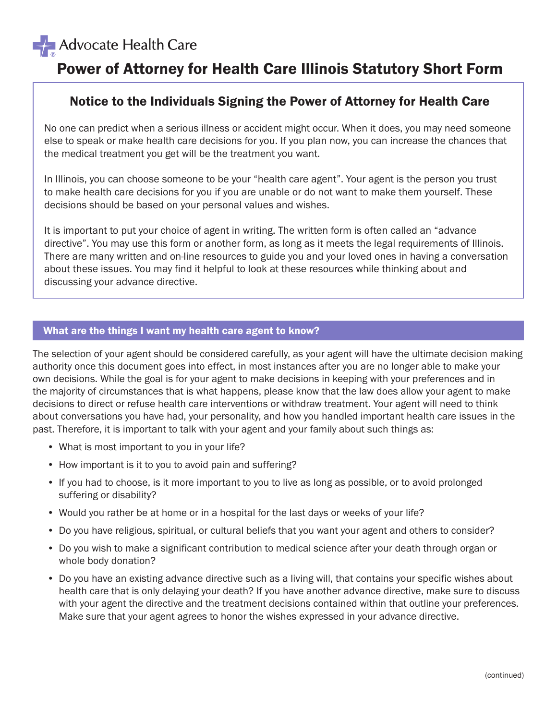

# Power of Attorney for Health Care Illinois Statutory Short Form

# Notice to the Individuals Signing the Power of Attorney for Health Care

No one can predict when a serious illness or accident might occur. When it does, you may need someone else to speak or make health care decisions for you. If you plan now, you can increase the chances that the medical treatment you get will be the treatment you want.

In Illinois, you can choose someone to be your "health care agent". Your agent is the person you trust to make health care decisions for you if you are unable or do not want to make them yourself. These decisions should be based on your personal values and wishes.

It is important to put your choice of agent in writing. The written form is often called an "advance directive". You may use this form or another form, as long as it meets the legal requirements of Illinois. There are many written and on-line resources to guide you and your loved ones in having a conversation about these issues. You may find it helpful to look at these resources while thinking about and discussing your advance directive.

# What are the things I want my health care agent to know?

The selection of your agent should be considered carefully, as your agent will have the ultimate decision making authority once this document goes into effect, in most instances after you are no longer able to make your own decisions. While the goal is for your agent to make decisions in keeping with your preferences and in the majority of circumstances that is what happens, please know that the law does allow your agent to make decisions to direct or refuse health care interventions or withdraw treatment. Your agent will need to think about conversations you have had, your personality, and how you handled important health care issues in the past. Therefore, it is important to talk with your agent and your family about such things as:

- What is most important to you in your life?
- How important is it to you to avoid pain and suffering?
- If you had to choose, is it more important to you to live as long as possible, or to avoid prolonged suffering or disability?
- Would you rather be at home or in a hospital for the last days or weeks of your life?
- Do you have religious, spiritual, or cultural beliefs that you want your agent and others to consider?
- Do you wish to make a significant contribution to medical science after your death through organ or whole body donation?
- Do you have an existing advance directive such as a living will, that contains your specific wishes about health care that is only delaying your death? If you have another advance directive, make sure to discuss with your agent the directive and the treatment decisions contained within that outline your preferences. Make sure that your agent agrees to honor the wishes expressed in your advance directive.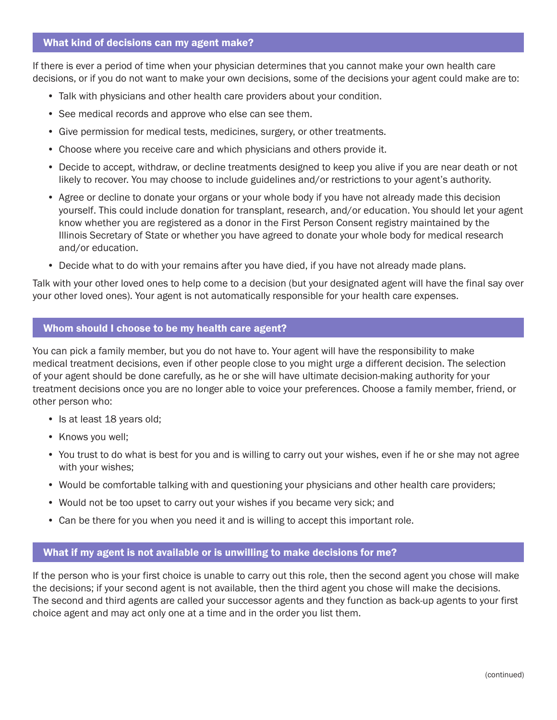#### What kind of decisions can my agent make?

If there is ever a period of time when your physician determines that you cannot make your own health care decisions, or if you do not want to make your own decisions, some of the decisions your agent could make are to:

- Talk with physicians and other health care providers about your condition.
- See medical records and approve who else can see them.
- Give permission for medical tests, medicines, surgery, or other treatments.
- Choose where you receive care and which physicians and others provide it.
- Decide to accept, withdraw, or decline treatments designed to keep you alive if you are near death or not likely to recover. You may choose to include guidelines and/or restrictions to your agent's authority.
- Agree or decline to donate your organs or your whole body if you have not already made this decision yourself. This could include donation for transplant, research, and/or education. You should let your agent know whether you are registered as a donor in the First Person Consent registry maintained by the Illinois Secretary of State or whether you have agreed to donate your whole body for medical research and/or education.
- Decide what to do with your remains after you have died, if you have not already made plans.

Talk with your other loved ones to help come to a decision (but your designated agent will have the final say over your other loved ones). Your agent is not automatically responsible for your health care expenses.

### Whom should I choose to be my health care agent?

You can pick a family member, but you do not have to. Your agent will have the responsibility to make medical treatment decisions, even if other people close to you might urge a different decision. The selection of your agent should be done carefully, as he or she will have ultimate decision-making authority for your treatment decisions once you are no longer able to voice your preferences. Choose a family member, friend, or other person who:

- Is at least 18 years old;
- Knows you well;
- You trust to do what is best for you and is willing to carry out your wishes, even if he or she may not agree with your wishes;
- Would be comfortable talking with and questioning your physicians and other health care providers;
- Would not be too upset to carry out your wishes if you became very sick; and
- Can be there for you when you need it and is willing to accept this important role.

### What if my agent is not available or is unwilling to make decisions for me?

If the person who is your first choice is unable to carry out this role, then the second agent you chose will make the decisions; if your second agent is not available, then the third agent you chose will make the decisions. The second and third agents are called your successor agents and they function as back-up agents to your first choice agent and may act only one at a time and in the order you list them.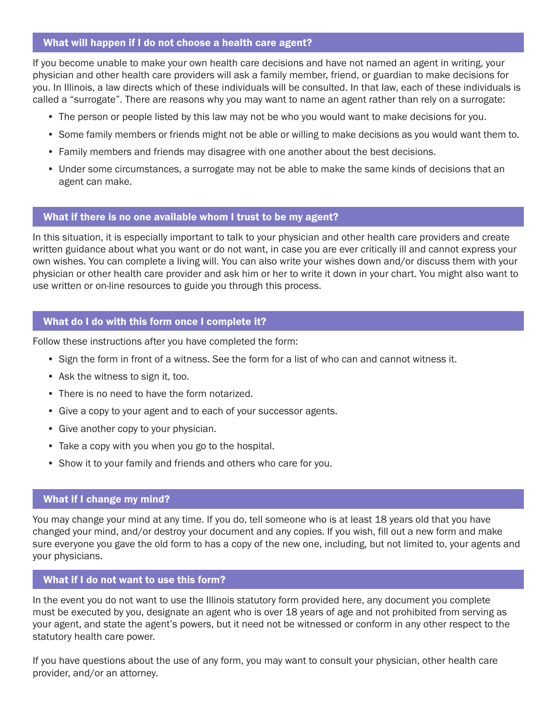## What will happen if I do not choose a health care agent?

If you become unable to make your own health care decisions and have not named an agent in writing, your physician and other health care providers will ask a family member, friend, or guardian to make decisions for you. In Illinois, a law directs which of these individuals will be consulted. In that law, each of these individuals is called a "surrogate". There are reasons why you may want to name an agent rather than rely on a surrogate:

- The person or people listed by this law may not be who you would want to make decisions for you.
- Some family members or friends might not be able or willing to make decisions as you would want them to.
- Family members and friends may disagree with one another about the best decisions.
- Under some circumstances, a surrogate may not be able to make the same kinds of decisions that an agent can make.

### What if there is no one available whom I trust to be my agent?

In this situation, it is especially important to talk to your physician and other health care providers and create written guidance about what you want or do not want, in case you are ever critically ill and cannot express your own wishes. You can complete a living will. You can also write your wishes down and/or discuss them with your physician or other health care provider and ask him or her to write it down in your chart. You might also want to use written or on-line resources to guide you through this process.

## What do I do with this form once I complete it?

Follow these instructions after you have completed the form:

- Sign the form in front of a witness. See the form for a list of who can and cannot witness it.
- Ask the witness to sign it, too.
- There is no need to have the form notarized.
- Give a copy to your agent and to each of your successor agents.
- Give another copy to your physician.
- Take a copy with you when you go to the hospital.
- Show it to your family and friends and others who care for you.

### What if I change my mind?

You may change your mind at any time. If you do, tell someone who is at least 18 years old that you have changed your mind, and/or destroy your document and any copies. If you wish, fill out a new form and make sure everyone you gave the old form to has a copy of the new one, including, but not limited to, your agents and your physicians.

# What if I do not want to use this form?

In the event you do not want to use the Illinois statutory form provided here, any document you complete must be executed by you, designate an agent who is over 18 years of age and not prohibited from serving as your agent, and state the agent's powers, but it need not be witnessed or conform in any other respect to the statutory health care power.

If you have questions about the use of any form, you may want to consult your physician, other health care provider, and/or an attorney.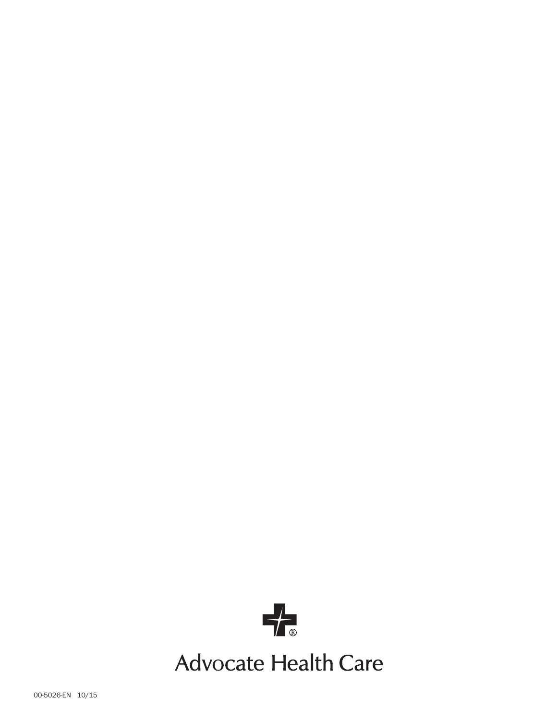

**Advocate Health Care**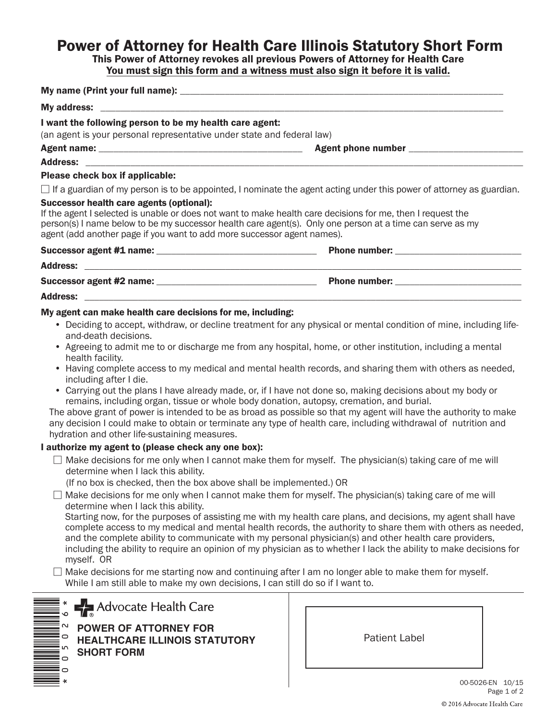# Power of Attorney for Health Care Illinois Statutory Short Form

This Power of Attorney revokes all previous Powers of Attorney for Health Care You must sign this form and a witness must also sign it before it is valid.

| I want the following person to be my health care agent:<br>(an agent is your personal representative under state and federal law)                                                                                                                                                                                                               |  |
|-------------------------------------------------------------------------------------------------------------------------------------------------------------------------------------------------------------------------------------------------------------------------------------------------------------------------------------------------|--|
|                                                                                                                                                                                                                                                                                                                                                 |  |
|                                                                                                                                                                                                                                                                                                                                                 |  |
| Please check box if applicable:                                                                                                                                                                                                                                                                                                                 |  |
| $\Box$ If a guardian of my person is to be appointed, I nominate the agent acting under this power of attorney as guardian.                                                                                                                                                                                                                     |  |
| Successor health care agents (optional):<br>If the agent I selected is unable or does not want to make health care decisions for me, then I request the<br>person(s) I name below to be my successor health care agent(s). Only one person at a time can serve as my<br>agent (add another page if you want to add more successor agent names). |  |
|                                                                                                                                                                                                                                                                                                                                                 |  |
|                                                                                                                                                                                                                                                                                                                                                 |  |

# My agent can make health care decisions for me, including:

- Deciding to accept, withdraw, or decline treatment for any physical or mental condition of mine, including lifeand-death decisions.
- Agreeing to admit me to or discharge me from any hospital, home, or other institution, including a mental health facility.

Address: \_\_\_\_\_\_\_\_\_\_\_\_\_\_\_\_\_\_\_\_\_\_\_\_\_\_\_\_\_\_\_\_\_\_\_\_\_\_\_\_\_\_\_\_\_\_\_\_\_\_\_\_\_\_\_\_\_\_\_\_\_\_\_\_\_\_\_\_\_\_\_\_\_\_\_\_\_\_\_\_\_\_\_\_\_\_\_\_\_\_

- Having complete access to my medical and mental health records, and sharing them with others as needed, including after I die.
- Carrying out the plans I have already made, or, if I have not done so, making decisions about my body or remains, including organ, tissue or whole body donation, autopsy, cremation, and burial.

The above grant of power is intended to be as broad as possible so that my agent will have the authority to make any decision I could make to obtain or terminate any type of health care, including withdrawal of nutrition and hydration and other life-sustaining measures.

#### I authorize my agent to (please check any one box):

- $\Box$  Make decisions for me only when I cannot make them for myself. The physician(s) taking care of me will determine when I lack this ability.
	- (If no box is checked, then the box above shall be implemented.) OR

Successor agent #2 name:  $\blacksquare$ 

 $\Box$  Make decisions for me only when I cannot make them for myself. The physician(s) taking care of me will determine when I lack this ability.

Starting now, for the purposes of assisting me with my health care plans, and decisions, my agent shall have complete access to my medical and mental health records, the authority to share them with others as needed, and the complete ability to communicate with my personal physician(s) and other health care providers, including the ability to require an opinion of my physician as to whether I lack the ability to make decisions for myself. OR

 $\Box$  Make decisions for me starting now and continuing after I am no longer able to make them for myself. While I am still able to make my own decisions, I can still do so if I want to.

|   | $\star$ |
|---|---------|
| ٠ | ∍       |
|   | J       |
|   | 冖       |
|   | ١<br>u  |
|   | っ       |
|   | ١       |
|   | $\star$ |
|   |         |

| $\frac{1}{\sqrt{2}}$ Advocate Health Care |  |
|-------------------------------------------|--|
|                                           |  |

**POWER OF ATTORNEY FOR HEALTHCARE ILLINOIS STATUTORY SHORT FORM** 

Patient Label